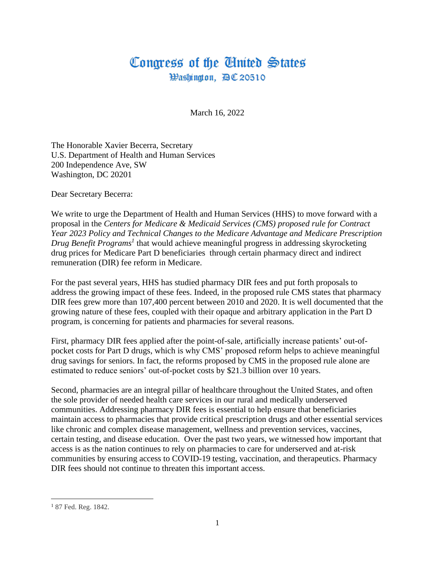## Congress of the Ginited States Hashington, 四C 20510

March 16, 2022

The Honorable Xavier Becerra, Secretary U.S. Department of Health and Human Services 200 Independence Ave, SW Washington, DC 20201

Dear Secretary Becerra:

We write to urge the Department of Health and Human Services (HHS) to move forward with a proposal in the *Centers for Medicare & Medicaid Services (CMS) proposed rule for Contract Year 2023 Policy and Technical Changes to the Medicare Advantage and Medicare Prescription Drug Benefit Programs<sup>1</sup>* that would achieve meaningful progress in addressing skyrocketing drug prices for Medicare Part D beneficiaries through certain pharmacy direct and indirect remuneration (DIR) fee reform in Medicare.

For the past several years, HHS has studied pharmacy DIR fees and put forth proposals to address the growing impact of these fees. Indeed, in the proposed rule CMS states that pharmacy DIR fees grew more than 107,400 percent between 2010 and 2020. It is well documented that the growing nature of these fees, coupled with their opaque and arbitrary application in the Part D program, is concerning for patients and pharmacies for several reasons.

First, pharmacy DIR fees applied after the point-of-sale, artificially increase patients' out-ofpocket costs for Part D drugs, which is why CMS' proposed reform helps to achieve meaningful drug savings for seniors. In fact, the reforms proposed by CMS in the proposed rule alone are estimated to reduce seniors' out-of-pocket costs by \$21.3 billion over 10 years.

Second, pharmacies are an integral pillar of healthcare throughout the United States, and often the sole provider of needed health care services in our rural and medically underserved communities. Addressing pharmacy DIR fees is essential to help ensure that beneficiaries maintain access to pharmacies that provide critical prescription drugs and other essential services like chronic and complex disease management, wellness and prevention services, vaccines, certain testing, and disease education. Over the past two years, we witnessed how important that access is as the nation continues to rely on pharmacies to care for underserved and at-risk communities by ensuring access to COVID-19 testing, vaccination, and therapeutics. Pharmacy DIR fees should not continue to threaten this important access.

<sup>1</sup> 87 Fed. Reg. 1842.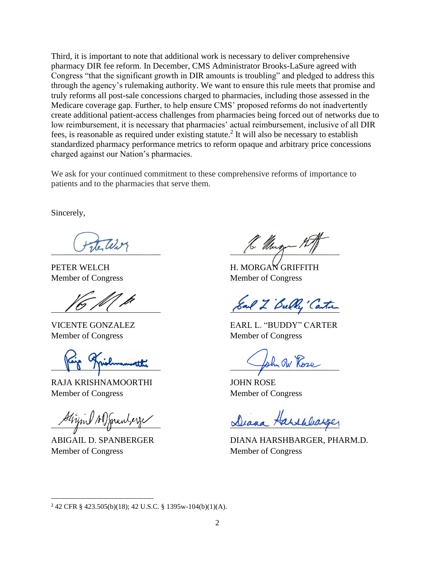Third, it is important to note that additional work is necessary to deliver comprehensive pharmacy DIR fee reform. In December, CMS Administrator Brooks-LaSure agreed with Congress "that the significant growth in DIR amounts is troubling" and pledged to address this through the agency's rulemaking authority. We want to ensure this rule meets that promise and truly reforms all post-sale concessions charged to pharmacies, including those assessed in the Medicare coverage gap. Further, to help ensure CMS' proposed reforms do not inadvertently create additional patient-access challenges from pharmacies being forced out of networks due to low reimbursement, it is necessary that pharmacies' actual reimbursement, inclusive of all DIR fees, is reasonable as required under existing statute.<sup>2</sup> It will also be necessary to establish standardized pharmacy performance metrics to reform opaque and arbitrary price concessions charged against our Nation's pharmacies.

We ask for your continued commitment to these comprehensive reforms of importance to patients and to the pharmacies that serve them.

Sincerely,

Member of Congress Member of Congress

Je Marmonier

RAJA KRISHNAMOORTHI JOHN ROSE Member of Congress Member of Congress

Strijn Is ) menterze

Member of Congress Member of Congress

 $\sim$  there is

PETER WELCH H. MORGAN GRIFFITH Member of Congress Member of Congress

Sal 2 Bully Carter

VICENTE GONZALEZ EARL L. "BUDDY" CARTER

ABIGAIL D. SPANBERGER DIANA HARSHBARGER, PHARM.D.

<sup>2</sup> 42 CFR § 423.505(b)(18); 42 U.S.C. § 1395w-104(b)(1)(A).